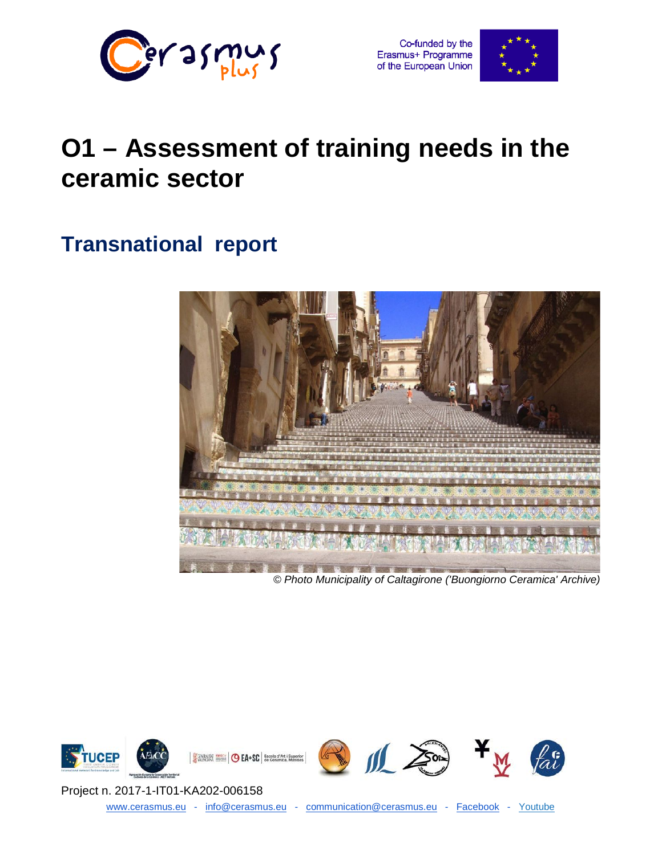





# **O1 – Assessment of training needs in the ceramic sector**

## **Transnational report**



*© Photo Municipality of Caltagirone ('Buongiorno Ceramica' Archive)*

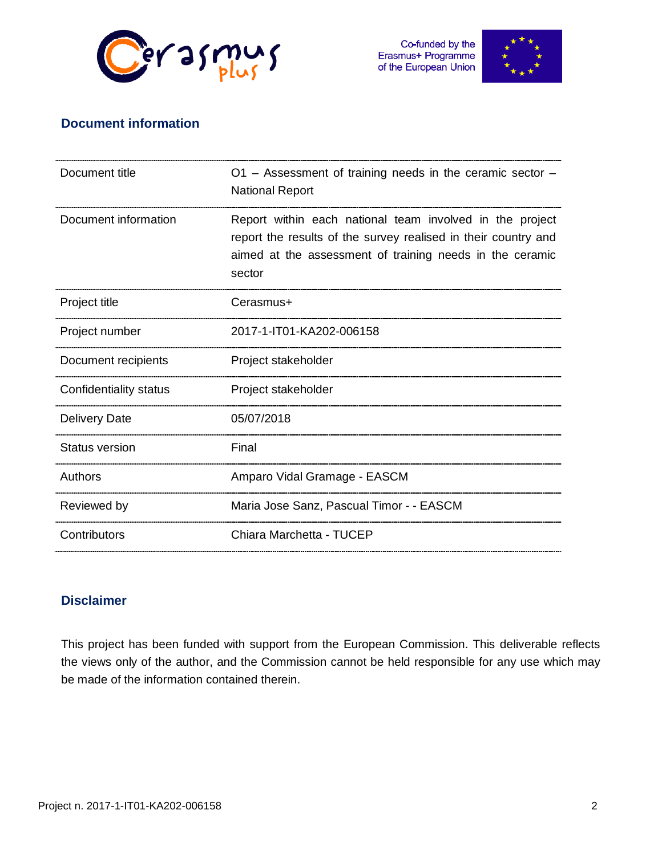



#### **Document information**

| Document title         | $O1$ – Assessment of training needs in the ceramic sector –<br><b>National Report</b>                                                                                                            |
|------------------------|--------------------------------------------------------------------------------------------------------------------------------------------------------------------------------------------------|
| Document information   | Report within each national team involved in the project<br>report the results of the survey realised in their country and<br>aimed at the assessment of training needs in the ceramic<br>sector |
| Project title          | Cerasmus+                                                                                                                                                                                        |
| Project number         | 2017-1-IT01-KA202-006158                                                                                                                                                                         |
| Document recipients    | Project stakeholder                                                                                                                                                                              |
| Confidentiality status | Project stakeholder                                                                                                                                                                              |
| <b>Delivery Date</b>   | 05/07/2018                                                                                                                                                                                       |
| <b>Status version</b>  | Final                                                                                                                                                                                            |
| <b>Authors</b>         | Amparo Vidal Gramage - EASCM                                                                                                                                                                     |
| Reviewed by            | Maria Jose Sanz, Pascual Timor - - EASCM                                                                                                                                                         |
| Contributors           | Chiara Marchetta - TUCEP                                                                                                                                                                         |

#### **Disclaimer**

This project has been funded with support from the European Commission. This deliverable reflects the views only of the author, and the Commission cannot be held responsible for any use which may be made of the information contained therein.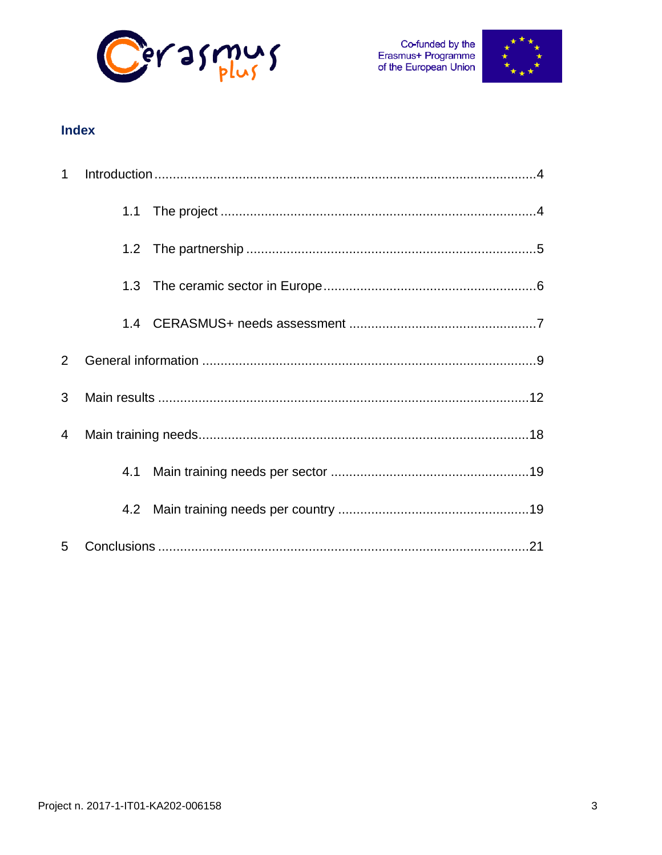



#### **Index**

| $\mathbf{1}$   |                  |  |  |  |  |  |
|----------------|------------------|--|--|--|--|--|
|                | 1.1              |  |  |  |  |  |
|                | 1.2 <sub>1</sub> |  |  |  |  |  |
|                |                  |  |  |  |  |  |
|                |                  |  |  |  |  |  |
| $\overline{2}$ |                  |  |  |  |  |  |
| 3              |                  |  |  |  |  |  |
| $\overline{4}$ |                  |  |  |  |  |  |
|                | 4.1              |  |  |  |  |  |
|                | $4.2^{\circ}$    |  |  |  |  |  |
| 5              |                  |  |  |  |  |  |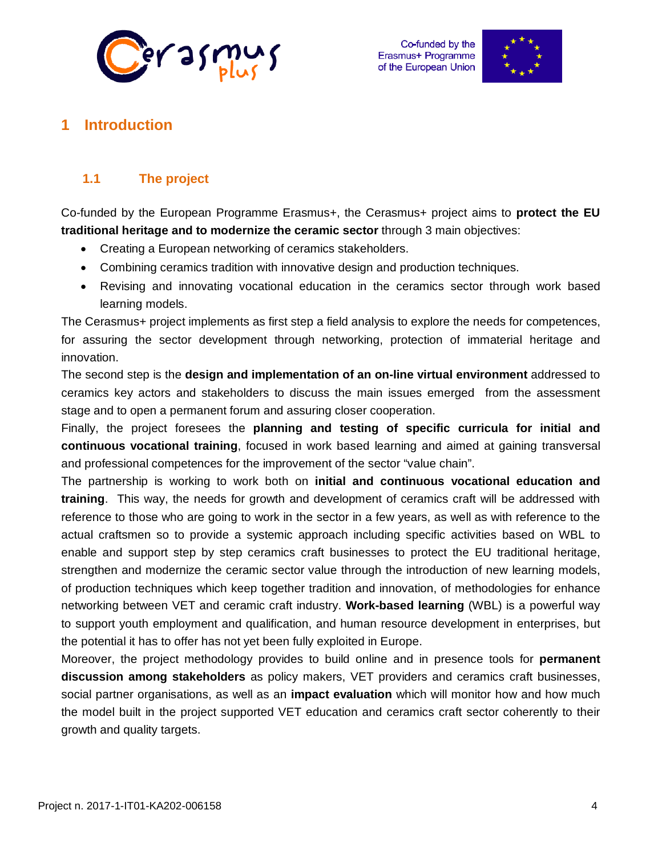



## <span id="page-3-0"></span>**1 Introduction**

## <span id="page-3-1"></span>**1.1 The project**

Co-funded by the European Programme Erasmus+, the Cerasmus+ project aims to **protect the EU traditional heritage and to modernize the ceramic sector** through 3 main objectives:

- Creating a European networking of ceramics stakeholders.
- Combining ceramics tradition with innovative design and production techniques.
- Revising and innovating vocational education in the ceramics sector through work based learning models.

The Cerasmus+ project implements as first step a field analysis to explore the needs for competences, for assuring the sector development through networking, protection of immaterial heritage and innovation.

The second step is the **design and implementation of an on-line virtual environment** addressed to ceramics key actors and stakeholders to discuss the main issues emerged from the assessment stage and to open a permanent forum and assuring closer cooperation.

Finally, the project foresees the **planning and testing of specific curricula for initial and continuous vocational training**, focused in work based learning and aimed at gaining transversal and professional competences for the improvement of the sector "value chain".

The partnership is working to work both on **initial and continuous vocational education and training**. This way, the needs for growth and development of ceramics craft will be addressed with reference to those who are going to work in the sector in a few years, as well as with reference to the actual craftsmen so to provide a systemic approach including specific activities based on WBL to enable and support step by step ceramics craft businesses to protect the EU traditional heritage, strengthen and modernize the ceramic sector value through the introduction of new learning models, of production techniques which keep together tradition and innovation, of methodologies for enhance networking between VET and ceramic craft industry. **Work-based learning** (WBL) is a powerful way to support youth employment and qualification, and human resource development in enterprises, but the potential it has to offer has not yet been fully exploited in Europe.

Moreover, the project methodology provides to build online and in presence tools for **permanent discussion among stakeholders** as policy makers, VET providers and ceramics craft businesses, social partner organisations, as well as an **impact evaluation** which will monitor how and how much the model built in the project supported VET education and ceramics craft sector coherently to their growth and quality targets.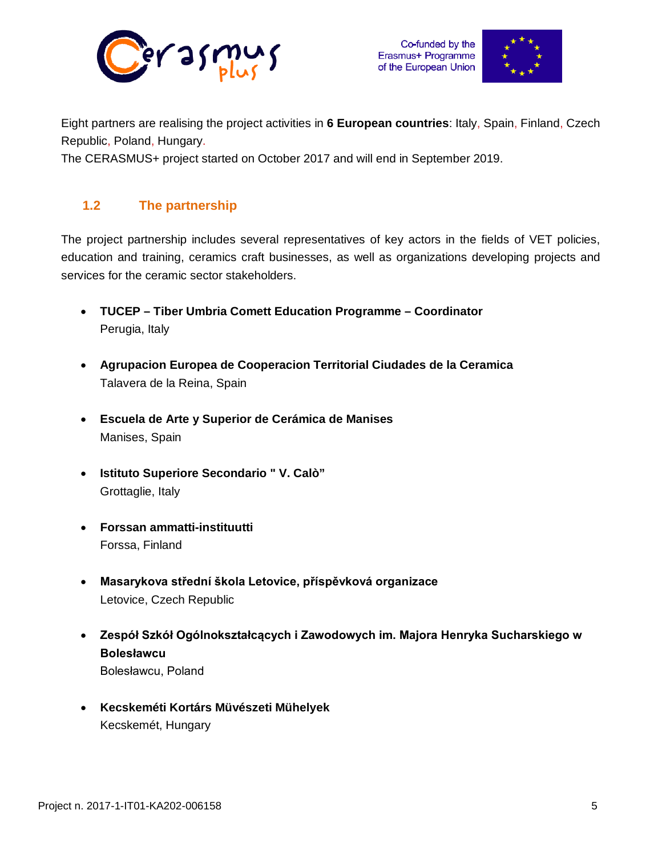



Eight partners are realising the project activities in **6 European countries**: Italy, Spain, Finland, Czech Republic, Poland, Hungary.

The CERASMUS+ project started on October 2017 and will end in September 2019.

### <span id="page-4-0"></span>**1.2 The partnership**

The project partnership includes several representatives of key actors in the fields of VET policies, education and training, ceramics craft businesses, as well as organizations developing projects and services for the ceramic sector stakeholders.

- **TUCEP – Tiber Umbria Comett Education Programme – Coordinator** Perugia, Italy
- **Agrupacion Europea de Cooperacion Territorial Ciudades de la Ceramica** Talavera de la Reina, Spain
- **Escuela de Arte y Superior de Cerámica de Manises** Manises, Spain
- **Istituto Superiore Secondario " V. Calò"**  Grottaglie, Italy
- **Forssan ammatti-instituutti** Forssa, Finland
- **Masarykova střední škola Letovice, příspěvková organizace** Letovice, Czech Republic
- **Zespół Szkół Ogólnokształcących i Zawodowych im. Majora Henryka Sucharskiego w Bolesławcu** Bolesławcu, Poland
- **Kecskeméti Kortárs Müvészeti Mühelyek** Kecskemét, Hungary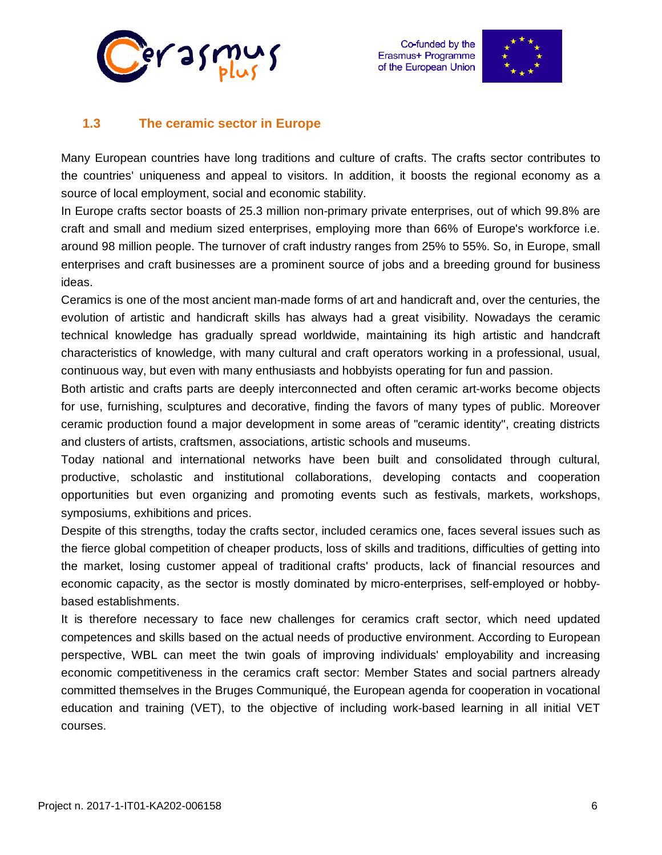



#### <span id="page-5-0"></span>**1.3 The ceramic sector in Europe**

Many European countries have long traditions and culture of crafts. The crafts sector contributes to the countries' uniqueness and appeal to visitors. In addition, it boosts the regional economy as a source of local employment, social and economic stability.

In Europe crafts sector boasts of 25.3 million non-primary private enterprises, out of which 99.8% are craft and small and medium sized enterprises, employing more than 66% of Europe's workforce i.e. around 98 million people. The turnover of craft industry ranges from 25% to 55%. So, in Europe, small enterprises and craft businesses are a prominent source of jobs and a breeding ground for business ideas.

Ceramics is one of the most ancient man-made forms of art and handicraft and, over the centuries, the evolution of artistic and handicraft skills has always had a great visibility. Nowadays the ceramic technical knowledge has gradually spread worldwide, maintaining its high artistic and handcraft characteristics of knowledge, with many cultural and craft operators working in a professional, usual, continuous way, but even with many enthusiasts and hobbyists operating for fun and passion.

Both artistic and crafts parts are deeply interconnected and often ceramic art-works become objects for use, furnishing, sculptures and decorative, finding the favors of many types of public. Moreover ceramic production found a major development in some areas of "ceramic identity", creating districts and clusters of artists, craftsmen, associations, artistic schools and museums.

Today national and international networks have been built and consolidated through cultural, productive, scholastic and institutional collaborations, developing contacts and cooperation opportunities but even organizing and promoting events such as festivals, markets, workshops, symposiums, exhibitions and prices.

Despite of this strengths, today the crafts sector, included ceramics one, faces several issues such as the fierce global competition of cheaper products, loss of skills and traditions, difficulties of getting into the market, losing customer appeal of traditional crafts' products, lack of financial resources and economic capacity, as the sector is mostly dominated by micro-enterprises, self-employed or hobbybased establishments.

It is therefore necessary to face new challenges for ceramics craft sector, which need updated competences and skills based on the actual needs of productive environment. According to European perspective, WBL can meet the twin goals of improving individuals' employability and increasing economic competitiveness in the ceramics craft sector: Member States and social partners already committed themselves in the Bruges Communiqué, the European agenda for cooperation in vocational education and training (VET), to the objective of including work-based learning in all initial VET courses.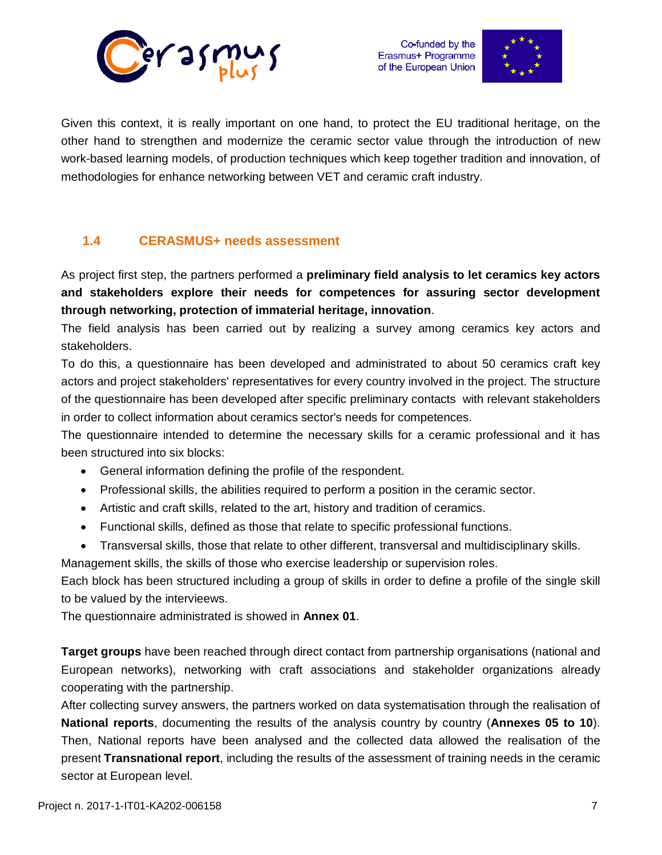



Given this context, it is really important on one hand, to protect the EU traditional heritage, on the other hand to strengthen and modernize the ceramic sector value through the introduction of new work-based learning models, of production techniques which keep together tradition and innovation, of methodologies for enhance networking between VET and ceramic craft industry.

#### <span id="page-6-0"></span>**1.4 CERASMUS+ needs assessment**

As project first step, the partners performed a **preliminary field analysis to let ceramics key actors and stakeholders explore their needs for competences for assuring sector development through networking, protection of immaterial heritage, innovation**.

The field analysis has been carried out by realizing a survey among ceramics key actors and stakeholders.

To do this, a questionnaire has been developed and administrated to about 50 ceramics craft key actors and project stakeholders' representatives for every country involved in the project. The structure of the questionnaire has been developed after specific preliminary contacts with relevant stakeholders in order to collect information about ceramics sector's needs for competences.

The questionnaire intended to determine the necessary skills for a ceramic professional and it has been structured into six blocks:

- General information defining the profile of the respondent.
- Professional skills, the abilities required to perform a position in the ceramic sector.
- Artistic and craft skills, related to the art, history and tradition of ceramics.
- Functional skills, defined as those that relate to specific professional functions.
- Transversal skills, those that relate to other different, transversal and multidisciplinary skills.

Management skills, the skills of those who exercise leadership or supervision roles.

Each block has been structured including a group of skills in order to define a profile of the single skill to be valued by the intervieews.

The questionnaire administrated is showed in **Annex 01**.

**Target groups** have been reached through direct contact from partnership organisations (national and European networks), networking with craft associations and stakeholder organizations already cooperating with the partnership.

After collecting survey answers, the partners worked on data systematisation through the realisation of **National reports**, documenting the results of the analysis country by country (**Annexes 05 to 10**). Then, National reports have been analysed and the collected data allowed the realisation of the present **Transnational report**, including the results of the assessment of training needs in the ceramic sector at European level.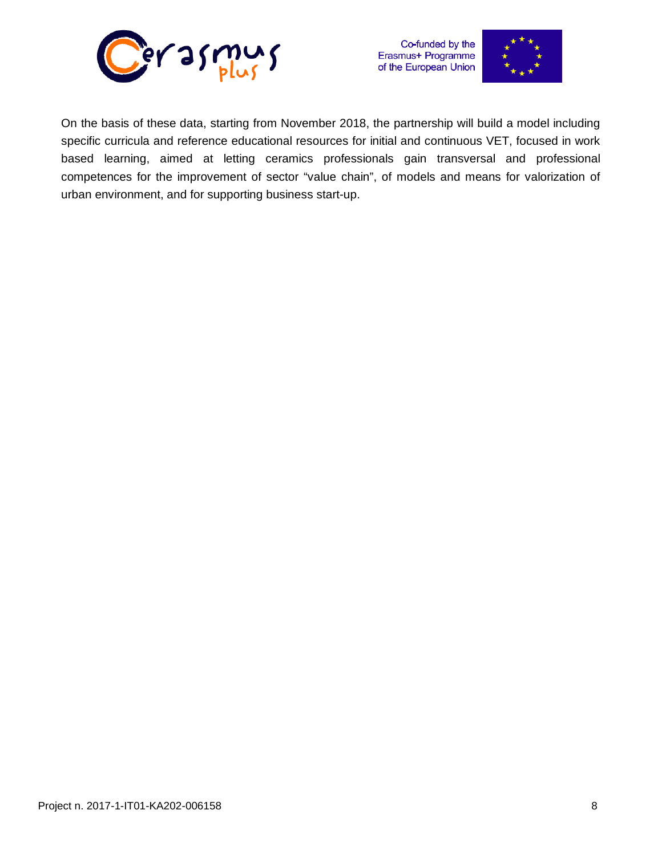



On the basis of these data, starting from November 2018, the partnership will build a model including specific curricula and reference educational resources for initial and continuous VET, focused in work based learning, aimed at letting ceramics professionals gain transversal and professional competences for the improvement of sector "value chain", of models and means for valorization of urban environment, and for supporting business start-up.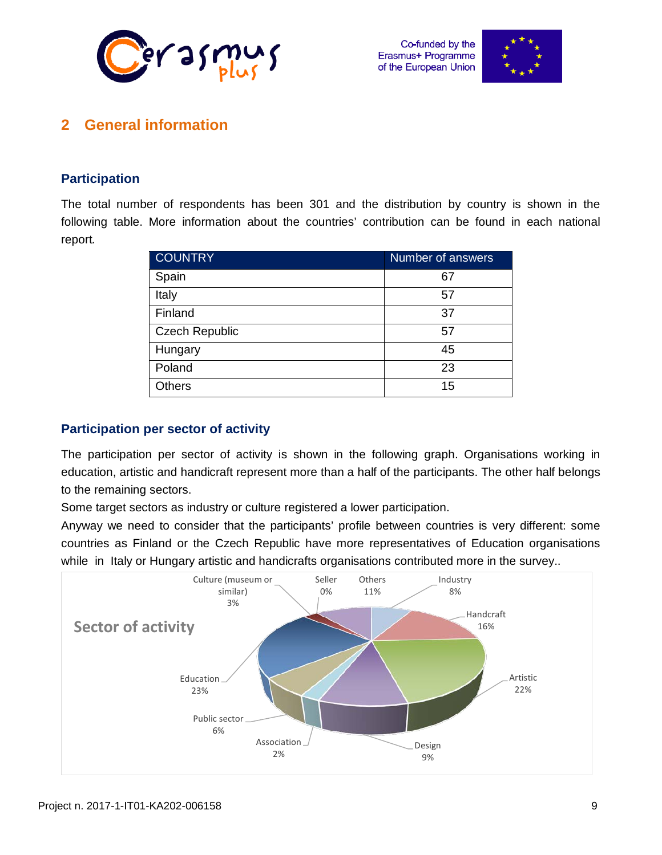



## <span id="page-8-0"></span>**2 General information**

#### **Participation**

The total number of respondents has been 301 and the distribution by country is shown in the following table. More information about the countries' contribution can be found in each national report*.*

| <b>COUNTRY</b>        | Number of answers |
|-----------------------|-------------------|
| Spain                 | 67                |
| Italy                 | 57                |
| Finland               | 37                |
| <b>Czech Republic</b> | 57                |
| Hungary               | 45                |
| Poland                | 23                |
| <b>Others</b>         | 15                |

#### **Participation per sector of activity**

The participation per sector of activity is shown in the following graph. Organisations working in education, artistic and handicraft represent more than a half of the participants. The other half belongs to the remaining sectors.

Some target sectors as industry or culture registered a lower participation.

Anyway we need to consider that the participants' profile between countries is very different: some countries as Finland or the Czech Republic have more representatives of Education organisations while in Italy or Hungary artistic and handicrafts organisations contributed more in the survey..

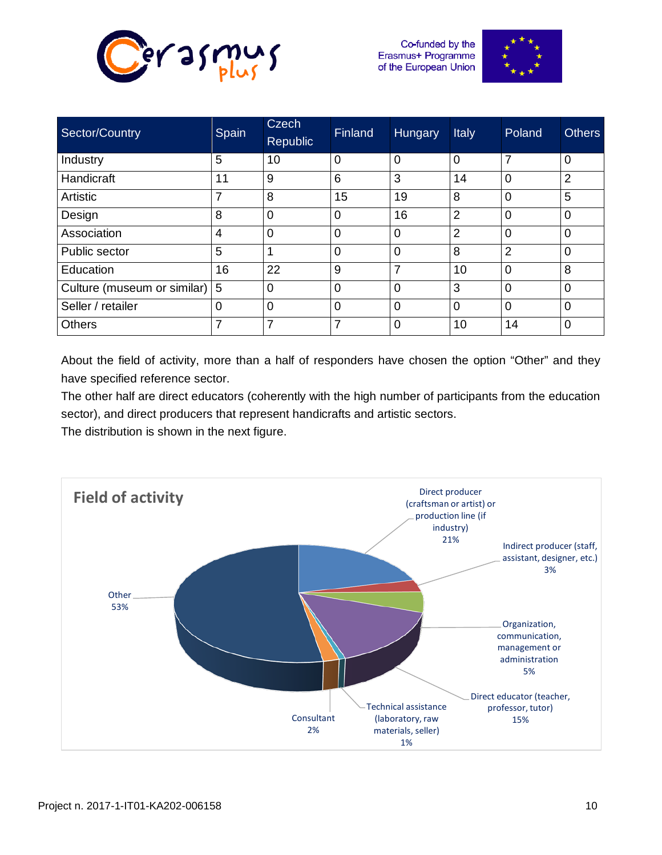



| Sector/Country              | Spain | <b>Czech</b><br><b>Republic</b> | <b>Finland</b> | Hungary | <b>Italy</b>   | Poland         | <b>Others</b>  |
|-----------------------------|-------|---------------------------------|----------------|---------|----------------|----------------|----------------|
| Industry                    | 5     | 10                              | $\overline{0}$ | 0       | 0              | $\overline{7}$ | $\overline{0}$ |
| Handicraft                  | 11    | 9                               | 6              | 3       | 14             | $\overline{0}$ | $\overline{2}$ |
| Artistic                    | 7     | 8                               | 15             | 19      | 8              | $\mathbf 0$    | 5              |
| Design                      | 8     | 0                               | $\overline{0}$ | 16      | $\overline{2}$ | $\overline{0}$ | $\mathbf 0$    |
| Association                 | 4     | 0                               | $\overline{0}$ | 0       | $\overline{2}$ | $\overline{0}$ | $\overline{0}$ |
| Public sector               | 5     |                                 | $\overline{0}$ | 0       | 8              | $\overline{2}$ | $\overline{0}$ |
| Education                   | 16    | 22                              | 9              | 7       | 10             | $\Omega$       | 8              |
| Culture (museum or similar) | 5     | 0                               | $\overline{0}$ | 0       | 3              | $\Omega$       | $\overline{0}$ |
| Seller / retailer           | 0     | 0                               | $\overline{0}$ | 0       | 0              | $\overline{0}$ | $\overline{0}$ |
| <b>Others</b>               | 7     | ⇁                               | 7              | 0       | 10             | 14             | $\mathbf 0$    |

About the field of activity, more than a half of responders have chosen the option "Other" and they have specified reference sector.

The other half are direct educators (coherently with the high number of participants from the education sector), and direct producers that represent handicrafts and artistic sectors.

The distribution is shown in the next figure.

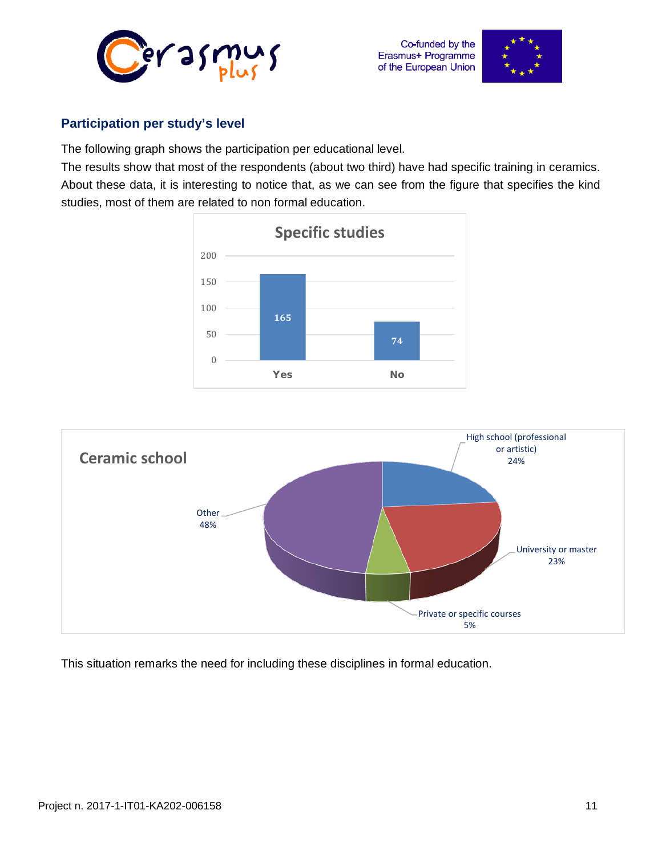



#### **Participation per study's level**

The following graph shows the participation per educational level.

The results show that most of the respondents (about two third) have had specific training in ceramics. About these data, it is interesting to notice that, as we can see from the figure that specifies the kind studies, most of them are related to non formal education.





This situation remarks the need for including these disciplines in formal education.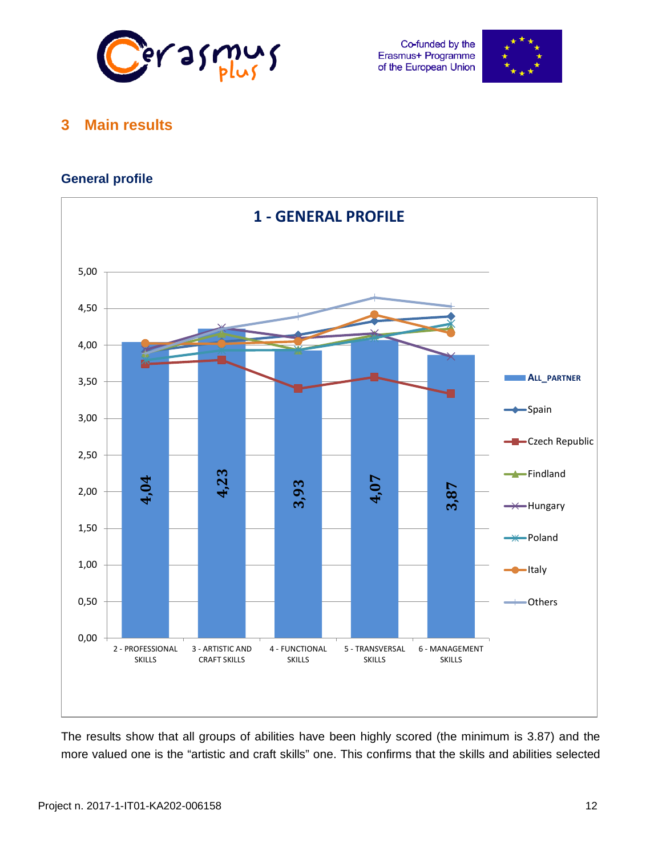



## <span id="page-11-0"></span>**3 Main results**

#### **General profile**



The results show that all groups of abilities have been highly scored (the minimum is 3.87) and the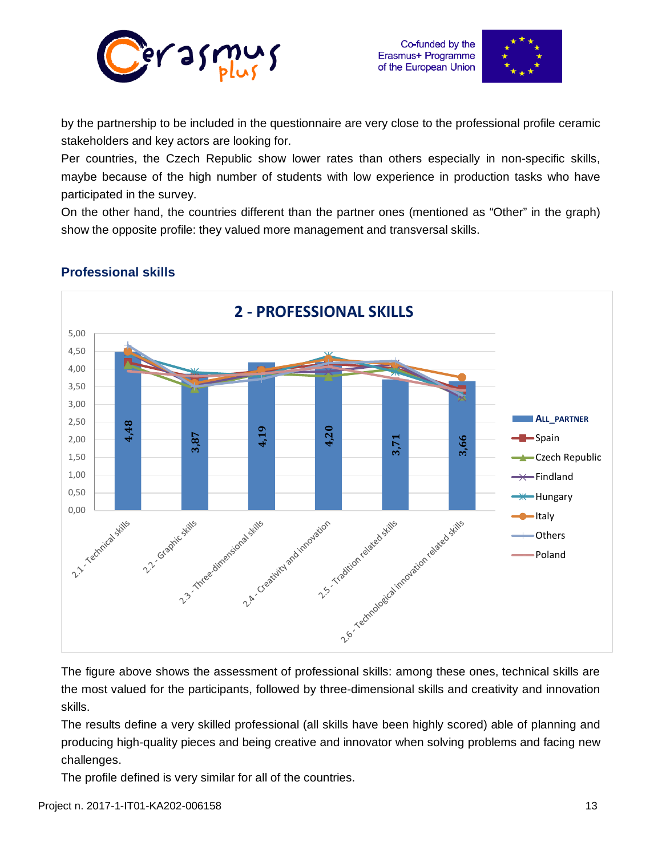



by the partnership to be included in the questionnaire are very close to the professional profile ceramic stakeholders and key actors are looking for.

Per countries, the Czech Republic show lower rates than others especially in non-specific skills, maybe because of the high number of students with low experience in production tasks who have participated in the survey.

On the other hand, the countries different than the partner ones (mentioned as "Other" in the graph) show the opposite profile: they valued more management and transversal skills.



#### **Professional skills**

The figure above shows the assessment of professional skills: among these ones, technical skills are the most valued for the participants, followed by three-dimensional skills and creativity and innovation skills.

The results define a very skilled professional (all skills have been highly scored) able of planning and producing high-quality pieces and being creative and innovator when solving problems and facing new challenges.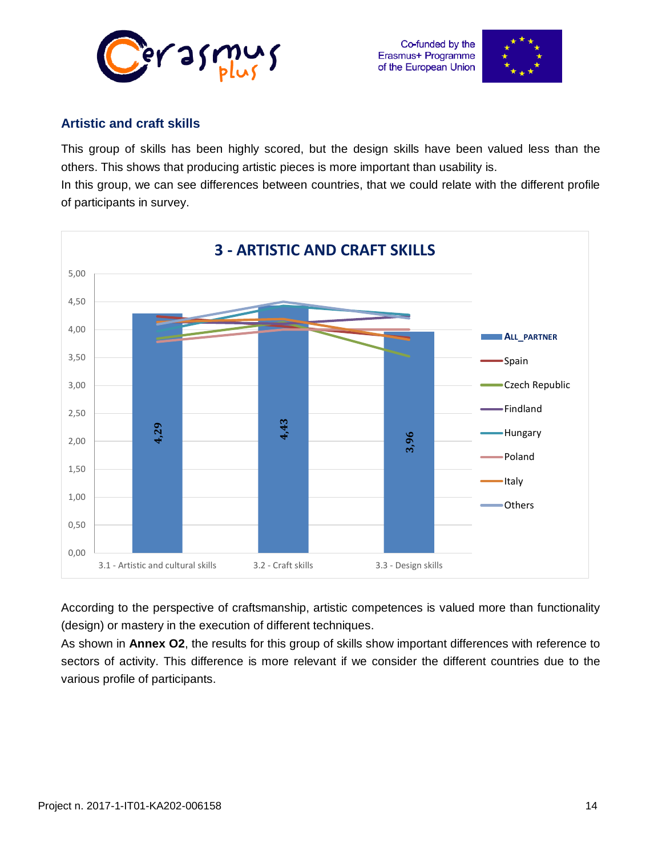



#### **Artistic and craft skills**

This group of skills has been highly scored, but the design skills have been valued less than the others. This shows that producing artistic pieces is more important than usability is. In this group, we can see differences between countries, that we could relate with the different profile of participants in survey.



According to the perspective of craftsmanship, artistic competences is valued more than functionality (design) or mastery in the execution of different techniques.

As shown in **Annex O2**, the results for this group of skills show important differences with reference to sectors of activity. This difference is more relevant if we consider the different countries due to the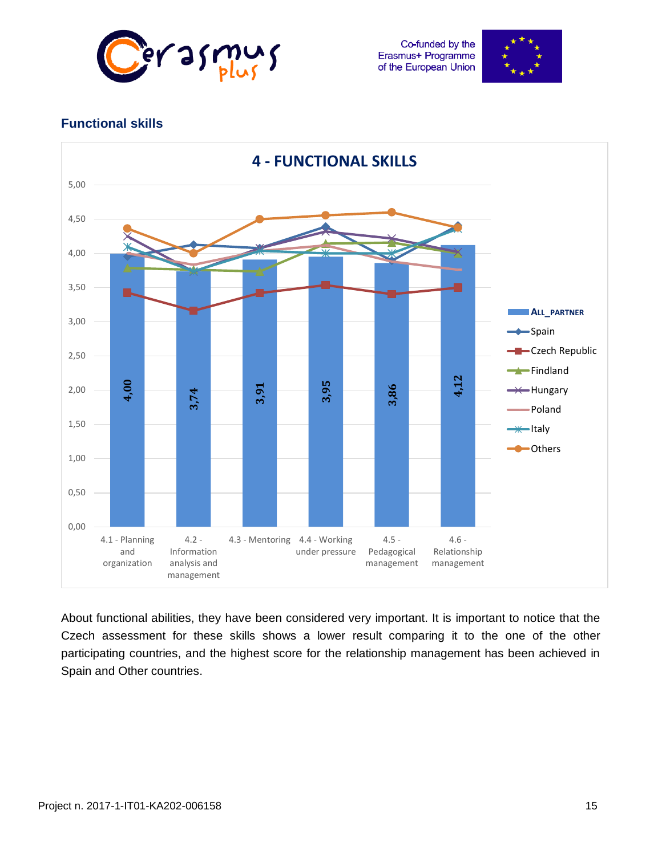



## **Functional skills**



About functional abilities, they have been considered very important. It is important to notice that the Czech assessment for these skills shows a lower result comparing it to the one of the other participating countries, and the highest score for the relationship management has been achieved in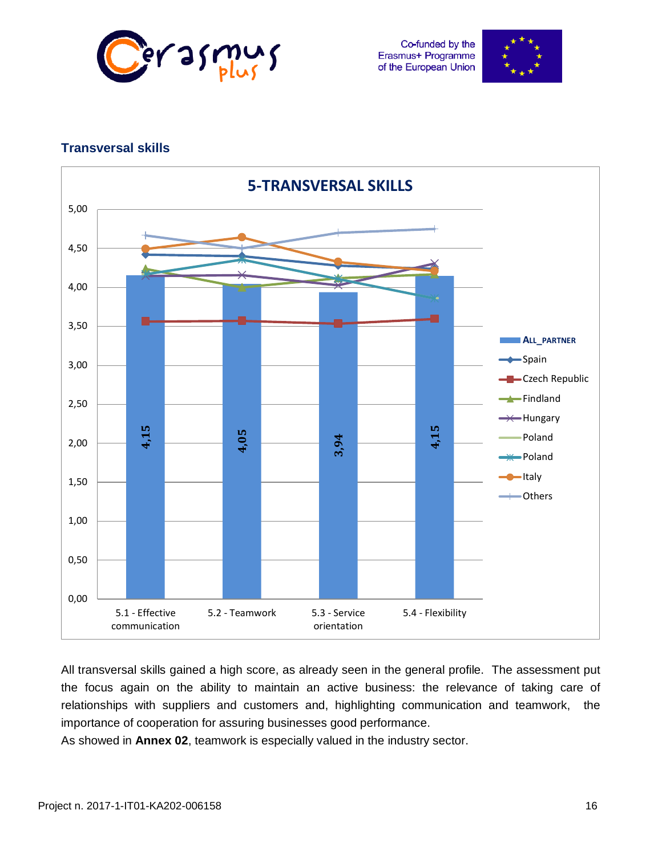



#### **Transversal skills**



All transversal skills gained a high score, as already seen in the general profile. The assessment put the focus again on the ability to maintain an active business: the relevance of taking care of relationships with suppliers and customers and, highlighting communication and teamwork, the importance of cooperation for assuring businesses good performance.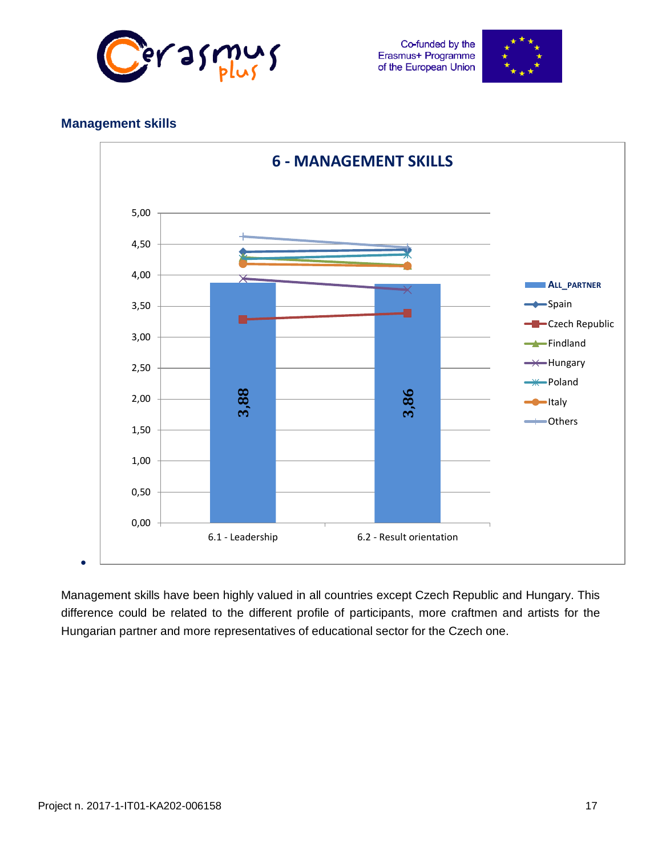



#### **Management skills**



Management skills have been highly valued in all countries except Czech Republic and Hungary. This difference could be related to the different profile of participants, more craftmen and artists for the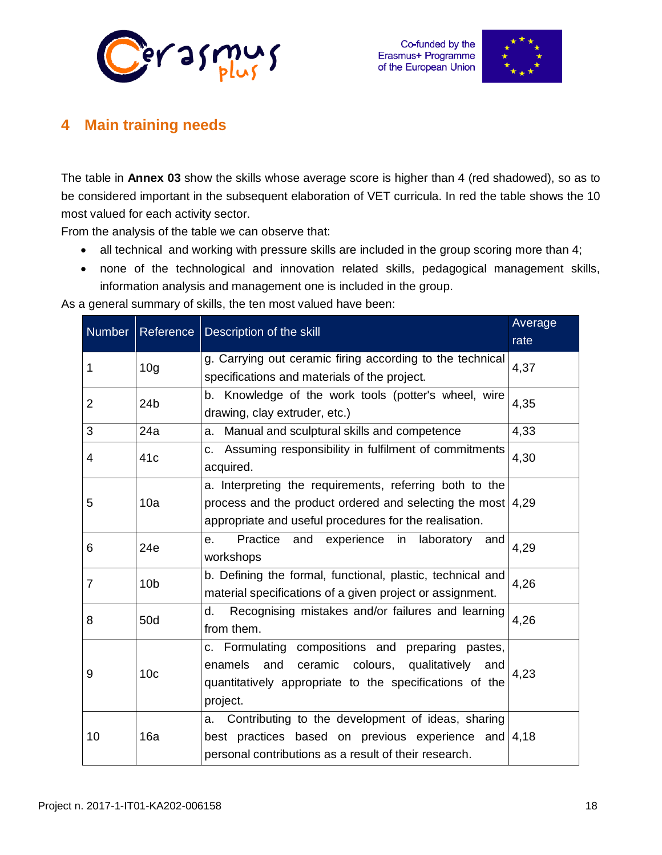



## <span id="page-17-0"></span>**4 Main training needs**

The table in **Annex 03** show the skills whose average score is higher than 4 (red shadowed), so as to be considered important in the subsequent elaboration of VET curricula. In red the table shows the 10 most valued for each activity sector.

From the analysis of the table we can observe that:

- all technical and working with pressure skills are included in the group scoring more than 4;
- none of the technological and innovation related skills, pedagogical management skills, information analysis and management one is included in the group.

As a general summary of skills, the ten most valued have been:

|                |                 | Number Reference Description of the skill                             | Average<br>rate |  |
|----------------|-----------------|-----------------------------------------------------------------------|-----------------|--|
| 1              | 10 <sub>g</sub> | g. Carrying out ceramic firing according to the technical             | 4,37            |  |
|                |                 | specifications and materials of the project.                          |                 |  |
| 2              | 24b             | b. Knowledge of the work tools (potter's wheel, wire                  | 4,35            |  |
|                |                 | drawing, clay extruder, etc.)                                         |                 |  |
| 3              | 24a             | Manual and sculptural skills and competence<br>a.                     | 4,33            |  |
| 4              | 41c             | c. Assuming responsibility in fulfilment of commitments               | 4,30            |  |
|                |                 | acquired.                                                             |                 |  |
|                | 10a             | a. Interpreting the requirements, referring both to the               |                 |  |
| 5              |                 | process and the product ordered and selecting the most $ 4,29\rangle$ |                 |  |
|                |                 | appropriate and useful procedures for the realisation.                |                 |  |
| 6              | 24e             | Practice<br>and experience in<br>laboratory<br>and<br>е.              | 4,29            |  |
|                |                 | workshops                                                             |                 |  |
| $\overline{7}$ | 10 <sub>b</sub> | b. Defining the formal, functional, plastic, technical and            | 4,26            |  |
|                |                 | material specifications of a given project or assignment.             |                 |  |
| 8              | 50d             | Recognising mistakes and/or failures and learning<br>d.               | 4,26            |  |
|                |                 | from them.                                                            |                 |  |
| 9              | 10 <sub>c</sub> | c. Formulating compositions and preparing pastes,                     |                 |  |
|                |                 | enamels<br>and<br>ceramic colours,<br>qualitatively<br>and            | 4,23            |  |
|                |                 | quantitatively appropriate to the specifications of the               |                 |  |
|                |                 | project.                                                              |                 |  |
|                | 16a             | Contributing to the development of ideas, sharing<br>a.               |                 |  |
| 10             |                 | best practices based on previous experience and 4,18                  |                 |  |
|                |                 | personal contributions as a result of their research.                 |                 |  |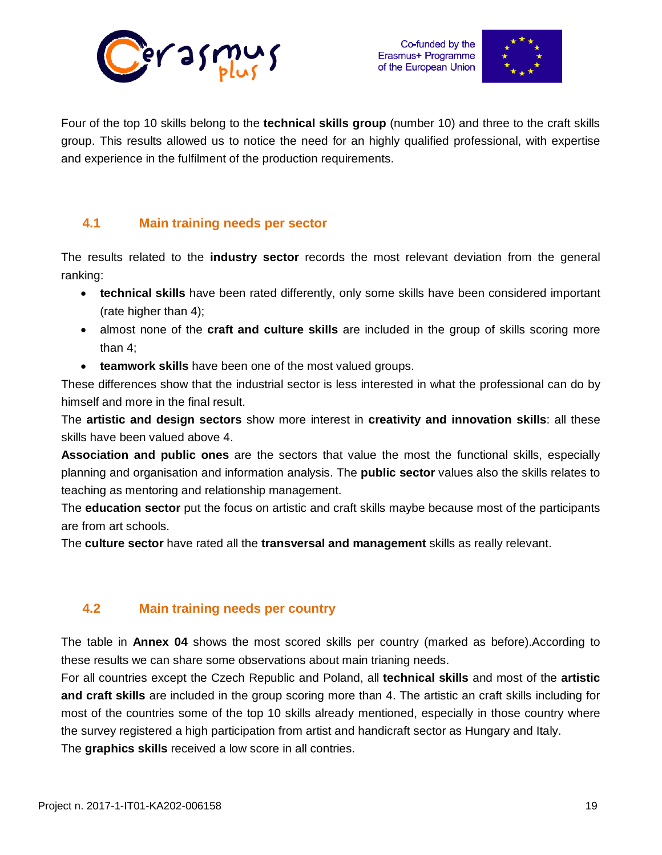



Four of the top 10 skills belong to the **technical skills group** (number 10) and three to the craft skills group. This results allowed us to notice the need for an highly qualified professional, with expertise and experience in the fulfilment of the production requirements.

#### <span id="page-18-0"></span>**4.1 Main training needs per sector**

The results related to the **industry sector** records the most relevant deviation from the general ranking:

- **technical skills** have been rated differently, only some skills have been considered important (rate higher than 4);
- almost none of the **craft and culture skills** are included in the group of skills scoring more than 4;
- **teamwork skills** have been one of the most valued groups.

These differences show that the industrial sector is less interested in what the professional can do by himself and more in the final result.

The **artistic and design sectors** show more interest in **creativity and innovation skills**: all these skills have been valued above 4.

**Association and public ones** are the sectors that value the most the functional skills, especially planning and organisation and information analysis. The **public sector** values also the skills relates to teaching as mentoring and relationship management.

The **education sector** put the focus on artistic and craft skills maybe because most of the participants are from art schools.

The **culture sector** have rated all the **transversal and management** skills as really relevant.

#### <span id="page-18-1"></span>**4.2 Main training needs per country**

The table in **Annex 04** shows the most scored skills per country (marked as before).According to these results we can share some observations about main trianing needs.

For all countries except the Czech Republic and Poland, all **technical skills** and most of the **artistic and craft skills** are included in the group scoring more than 4. The artistic an craft skills including for most of the countries some of the top 10 skills already mentioned, especially in those country where the survey registered a high participation from artist and handicraft sector as Hungary and Italy. The **graphics skills** received a low score in all contries.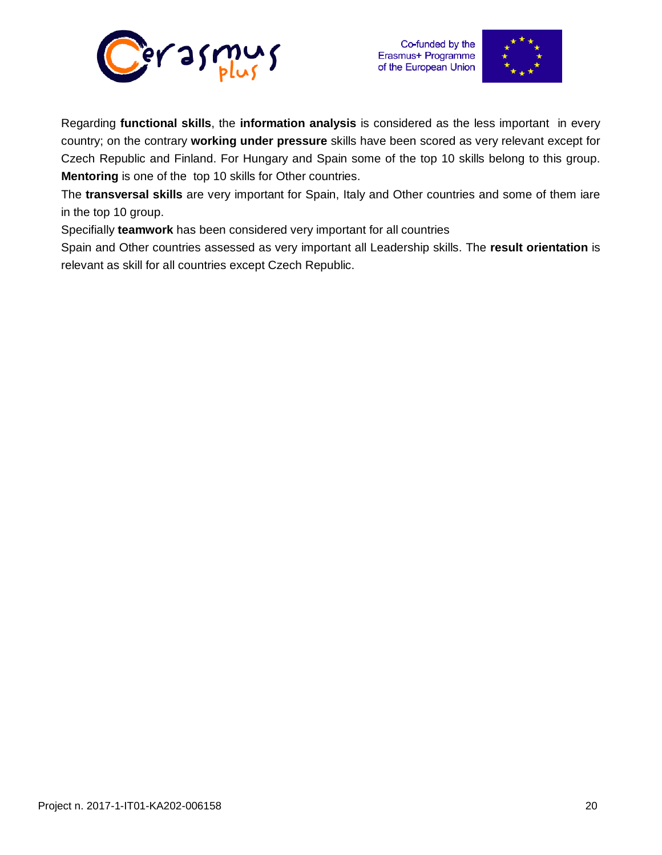



Regarding **functional skills**, the **information analysis** is considered as the less important in every country; on the contrary **working under pressure** skills have been scored as very relevant except for Czech Republic and Finland. For Hungary and Spain some of the top 10 skills belong to this group. **Mentoring** is one of the top 10 skills for Other countries.

The **transversal skills** are very important for Spain, Italy and Other countries and some of them iare in the top 10 group.

Specifially **teamwork** has been considered very important for all countries

Spain and Other countries assessed as very important all Leadership skills. The **result orientation** is relevant as skill for all countries except Czech Republic.